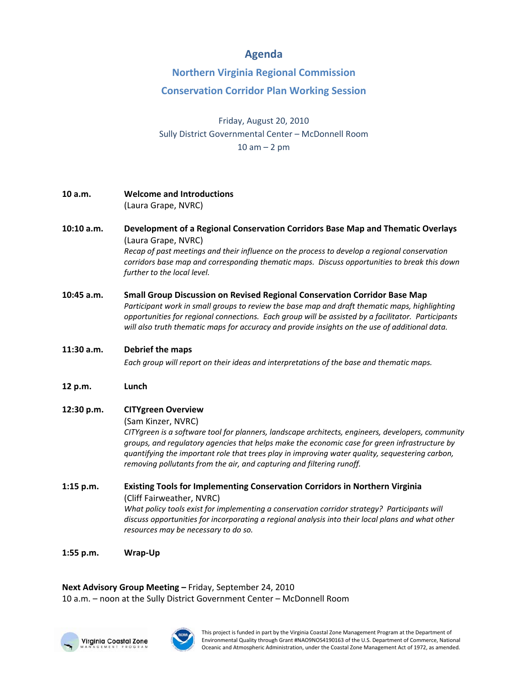## **Agenda**

## **Northern Virginia Regional Commission**

## **Conservation Corridor Plan Working Session**

Friday, August 20, 2010 Sully District Governmental Center – McDonnell Room  $10$  am  $-$  2 pm

- **10 a.m. Welcome and Introductions** (Laura Grape, NVRC)
- **10:10 a.m. Development of a Regional Conservation Corridors Base Map and Thematic Overlays**  (Laura Grape, NVRC) *Recap of past meetings and their influence on the process to develop a regional conservation corridors base map and corresponding thematic maps. Discuss opportunities to break this down further to the local level.*
- **10:45 a.m. Small Group Discussion on Revised Regional Conservation Corridor Base Map**  *Participant work in small groups to review the base map and draft thematic maps, highlighting*

*opportunities for regional connections. Each group will be assisted by a facilitator. Participants will also truth thematic maps for accuracy and provide insights on the use of additional data.*

**11:30 a.m. Debrief the maps**

*Each group will report on their ideas and interpretations of the base and thematic maps.*

- **12 p.m. Lunch**
- **12:30 p.m. CITYgreen Overview**

(Sam Kinzer, NVRC)

*CITYgreen is a software tool for planners, landscape architects, engineers, developers, community groups, and regulatory agencies that helps make the economic case for green infrastructure by quantifying the important role that trees play in improving water quality, sequestering carbon, removing pollutants from the air, and capturing and filtering runoff.*

**1:15 p.m. Existing Tools for Implementing Conservation Corridors in Northern Virginia** (Cliff Fairweather, NVRC) *What policy tools exist for implementing a conservation corridor strategy? Participants will discuss opportunities for incorporating a regional analysis into their local plans and what other resources may be necessary to do so.*

**1:55 p.m. Wrap‐Up**

**Next Advisory Group Meeting –** Friday, September 24, 2010 10 a.m. – noon at the Sully District Government Center – McDonnell Room





This project is funded in part by the Virginia Coastal Zone Management Program at the Department of Environmental Quality through Grant #NAO9NOS4190163 of the U.S. Department of Commerce, National Oceanic and Atmospheric Administration, under the Coastal Zone Management Act of 1972, as amended.